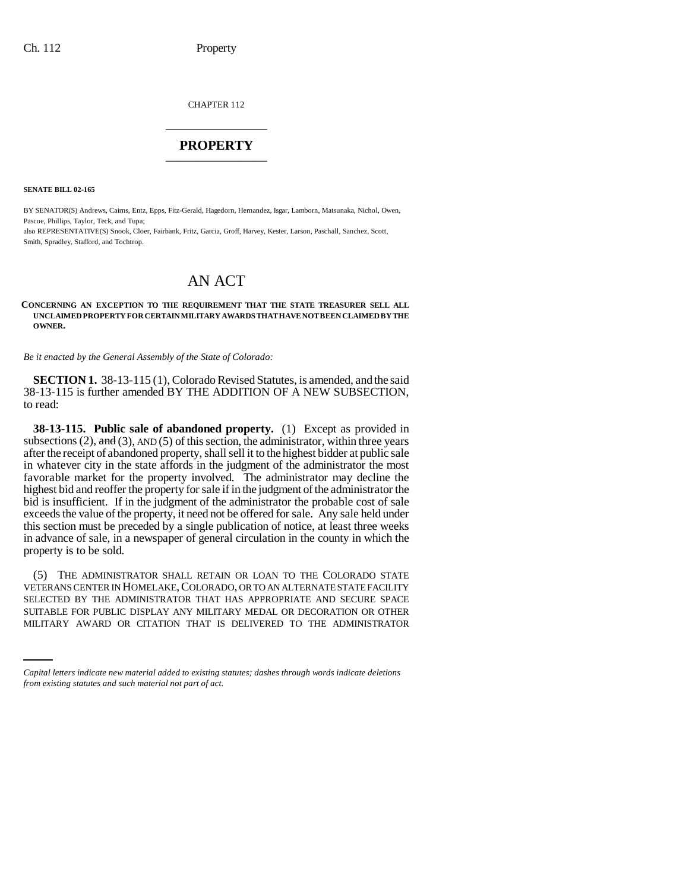CHAPTER 112 \_\_\_\_\_\_\_\_\_\_\_\_\_\_\_

## **PROPERTY** \_\_\_\_\_\_\_\_\_\_\_\_\_\_\_

**SENATE BILL 02-165**

BY SENATOR(S) Andrews, Cairns, Entz, Epps, Fitz-Gerald, Hagedorn, Hernandez, Isgar, Lamborn, Matsunaka, Nichol, Owen, Pascoe, Phillips, Taylor, Teck, and Tupa;

also REPRESENTATIVE(S) Snook, Cloer, Fairbank, Fritz, Garcia, Groff, Harvey, Kester, Larson, Paschall, Sanchez, Scott, Smith, Spradley, Stafford, and Tochtrop.

## AN ACT

## **CONCERNING AN EXCEPTION TO THE REQUIREMENT THAT THE STATE TREASURER SELL ALL UNCLAIMED PROPERTY FOR CERTAIN MILITARY AWARDS THAT HAVE NOT BEEN CLAIMED BY THE OWNER.**

*Be it enacted by the General Assembly of the State of Colorado:*

**SECTION 1.** 38-13-115 (1), Colorado Revised Statutes, is amended, and the said 38-13-115 is further amended BY THE ADDITION OF A NEW SUBSECTION, to read:

**38-13-115. Public sale of abandoned property.** (1) Except as provided in subsections (2),  $\overline{and}$  (3), AND (5) of this section, the administrator, within three years after the receipt of abandoned property, shall sell it to the highest bidder at public sale in whatever city in the state affords in the judgment of the administrator the most favorable market for the property involved. The administrator may decline the highest bid and reoffer the property for sale if in the judgment of the administrator the bid is insufficient. If in the judgment of the administrator the probable cost of sale exceeds the value of the property, it need not be offered for sale. Any sale held under this section must be preceded by a single publication of notice, at least three weeks in advance of sale, in a newspaper of general circulation in the county in which the property is to be sold.

SELECTED BY THE ADMINISTRATOR THAT HAS APPROPRIATE AND SECURE SPACE (5) THE ADMINISTRATOR SHALL RETAIN OR LOAN TO THE COLORADO STATE VETERANS CENTER IN HOMELAKE, COLORADO, OR TO AN ALTERNATE STATE FACILITY SUITABLE FOR PUBLIC DISPLAY ANY MILITARY MEDAL OR DECORATION OR OTHER MILITARY AWARD OR CITATION THAT IS DELIVERED TO THE ADMINISTRATOR

*Capital letters indicate new material added to existing statutes; dashes through words indicate deletions from existing statutes and such material not part of act.*